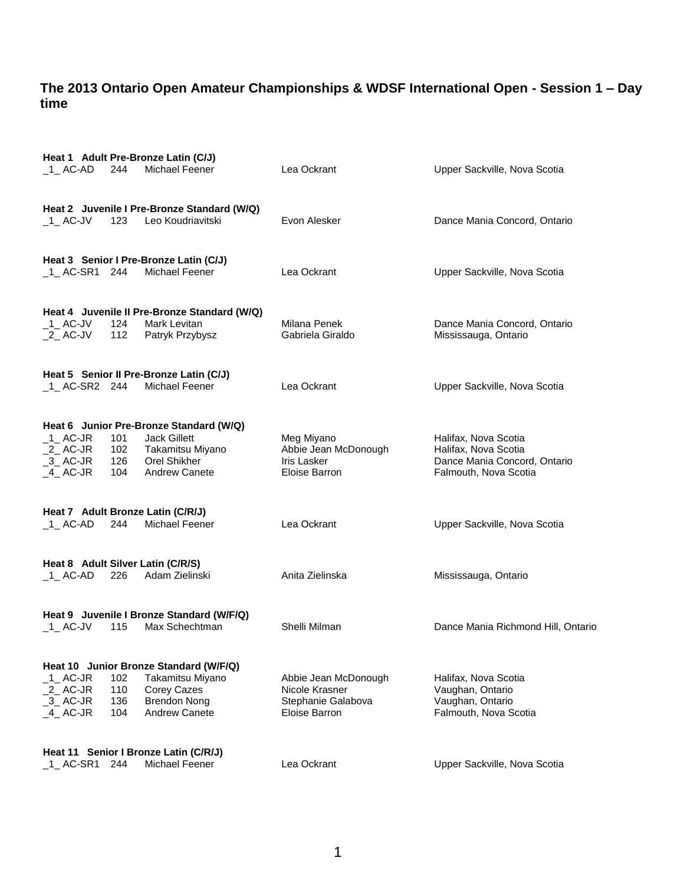|                                        |                                   | Heat 1 Adult Pre-Bronze Latin (C/J)                              |                                     |                                                       |  |  |
|----------------------------------------|-----------------------------------|------------------------------------------------------------------|-------------------------------------|-------------------------------------------------------|--|--|
| 1 AC-AD                                | 244                               | Michael Feener                                                   | Lea Ockrant                         | Upper Sackville, Nova Scotia                          |  |  |
|                                        |                                   |                                                                  |                                     |                                                       |  |  |
| 1 AC-JV                                | 123                               | Heat 2 Juvenile I Pre-Bronze Standard (W/Q)<br>Leo Koudriavitski | Evon Alesker                        | Dance Mania Concord, Ontario                          |  |  |
|                                        |                                   |                                                                  |                                     |                                                       |  |  |
|                                        |                                   | Heat 3 Senior I Pre-Bronze Latin (C/J)                           |                                     |                                                       |  |  |
| 1 AC-SR1 244                           |                                   | Michael Feener                                                   | Lea Ockrant                         | Upper Sackville, Nova Scotia                          |  |  |
|                                        |                                   |                                                                  |                                     |                                                       |  |  |
|                                        |                                   | Heat 4 Juvenile II Pre-Bronze Standard (W/Q)                     |                                     |                                                       |  |  |
| $\_$ 1 $\_$ AC-JV<br>$2$ AC-JV         | 124<br>112                        | Mark Levitan<br>Patryk Przybysz                                  | Milana Penek<br>Gabriela Giraldo    | Dance Mania Concord, Ontario<br>Mississauga, Ontario  |  |  |
|                                        |                                   |                                                                  |                                     |                                                       |  |  |
|                                        |                                   | Heat 5 Senior II Pre-Bronze Latin (C/J)                          |                                     |                                                       |  |  |
| $_1$ AC-SR2 244                        |                                   | Michael Feener                                                   | Lea Ockrant                         | Upper Sackville, Nova Scotia                          |  |  |
|                                        |                                   |                                                                  |                                     |                                                       |  |  |
|                                        |                                   | Heat 6 Junior Pre-Bronze Standard (W/Q)                          |                                     |                                                       |  |  |
| $_1$ AC-JR                             | 101                               | <b>Jack Gillett</b>                                              | Meg Miyano                          | Halifax, Nova Scotia                                  |  |  |
| $2$ AC-JR                              | 102                               | Takamitsu Miyano                                                 | Abbie Jean McDonough                | Halifax, Nova Scotia                                  |  |  |
| 3 AC-JR<br>$-4$ AC-JR                  | 126<br>104                        | Orel Shikher<br><b>Andrew Canete</b>                             | <b>Iris Lasker</b><br>Eloise Barron | Dance Mania Concord, Ontario<br>Falmouth, Nova Scotia |  |  |
|                                        |                                   |                                                                  |                                     |                                                       |  |  |
|                                        |                                   | Heat 7 Adult Bronze Latin (C/R/J)                                |                                     |                                                       |  |  |
| $\_1\_$ AC-AD                          | 244                               | Michael Feener                                                   | Lea Ockrant                         | Upper Sackville, Nova Scotia                          |  |  |
|                                        |                                   |                                                                  |                                     |                                                       |  |  |
|                                        | Heat 8 Adult Silver Latin (C/R/S) |                                                                  |                                     |                                                       |  |  |
| $-1$ AC-AD                             | 226                               | Adam Zielinski                                                   | Anita Zielinska                     | Mississauga, Ontario                                  |  |  |
|                                        |                                   |                                                                  |                                     |                                                       |  |  |
| $-1$ AC-JV                             | 115                               | Heat 9 Juvenile I Bronze Standard (W/F/Q)<br>Max Schechtman      | Shelli Milman                       | Dance Mania Richmond Hill, Ontario                    |  |  |
|                                        |                                   |                                                                  |                                     |                                                       |  |  |
| Heat 10 Junior Bronze Standard (W/F/Q) |                                   |                                                                  |                                     |                                                       |  |  |
| $-1$ AC-JR                             | 102                               | Takamitsu Miyano                                                 | Abbie Jean McDonough                | Halifax, Nova Scotia                                  |  |  |
| $2$ AC-JR                              | 110                               | Corey Cazes                                                      | Nicole Krasner                      | Vaughan, Ontario                                      |  |  |
| $-3$ AC-JR<br>$-4$ AC-JR               | 136<br>104                        | <b>Brendon Nong</b><br>Andrew Canete                             | Stephanie Galabova<br>Eloise Barron | Vaughan, Ontario<br>Falmouth, Nova Scotia             |  |  |
|                                        |                                   |                                                                  |                                     |                                                       |  |  |
| Heat 11 Senior I Bronze Latin (C/R/J)  |                                   |                                                                  |                                     |                                                       |  |  |
| $_1$ AC-SR1                            | 244                               | Michael Feener                                                   | Lea Ockrant                         | Upper Sackville, Nova Scotia                          |  |  |
|                                        |                                   |                                                                  |                                     |                                                       |  |  |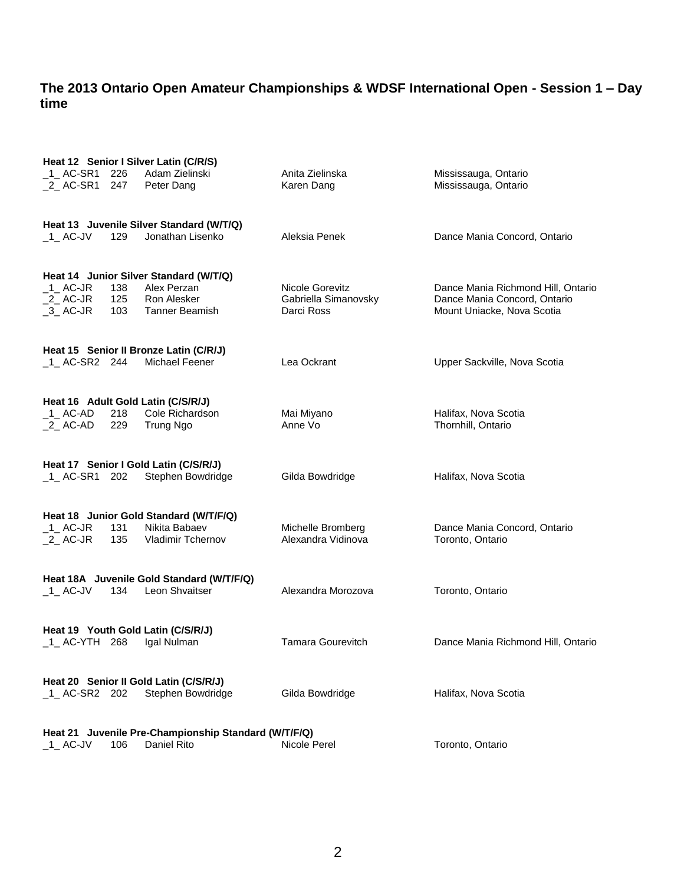|                                                      |            | Heat 12 Senior I Silver Latin (C/R/S)     |                                         |                                                            |  |  |
|------------------------------------------------------|------------|-------------------------------------------|-----------------------------------------|------------------------------------------------------------|--|--|
| 1_AC-SR1 226<br>$_2$ AC-SR1                          | 247        | Adam Zielinski<br>Peter Dang              | Anita Zielinska<br>Karen Dang           | Mississauga, Ontario<br>Mississauga, Ontario               |  |  |
|                                                      |            | Heat 13 Juvenile Silver Standard (W/T/Q)  |                                         |                                                            |  |  |
| $-1$ AC-JV                                           | 129        | Jonathan Lisenko                          | Aleksia Penek                           | Dance Mania Concord, Ontario                               |  |  |
|                                                      |            | Heat 14 Junior Silver Standard (W/T/Q)    |                                         |                                                            |  |  |
| $\_$ 1 $\_$ AC-JR                                    | 138        | Alex Perzan                               | Nicole Gorevitz                         | Dance Mania Richmond Hill, Ontario                         |  |  |
| $2$ AC-JR<br>$-3$ AC-JR                              | 125<br>103 | Ron Alesker<br>Tanner Beamish             | Gabriella Simanovsky<br>Darci Ross      | Dance Mania Concord, Ontario<br>Mount Uniacke, Nova Scotia |  |  |
|                                                      |            |                                           |                                         |                                                            |  |  |
|                                                      |            | Heat 15 Senior II Bronze Latin (C/R/J)    |                                         |                                                            |  |  |
| $-1$ AC-SR2 244                                      |            | Michael Feener                            | Lea Ockrant                             | Upper Sackville, Nova Scotia                               |  |  |
|                                                      |            |                                           |                                         |                                                            |  |  |
|                                                      |            | Heat 16 Adult Gold Latin (C/S/R/J)        |                                         |                                                            |  |  |
| $_1$ AC-AD<br>$_2$ AC-AD                             | 218<br>229 | Cole Richardson<br>Trung Ngo              | Mai Miyano<br>Anne Vo                   | Halifax, Nova Scotia<br>Thornhill, Ontario                 |  |  |
|                                                      |            |                                           |                                         |                                                            |  |  |
|                                                      |            | Heat 17 Senior I Gold Latin (C/S/R/J)     |                                         |                                                            |  |  |
| $1$ AC-SR1 202                                       |            | Stephen Bowdridge                         | Gilda Bowdridge                         | Halifax, Nova Scotia                                       |  |  |
|                                                      |            |                                           |                                         |                                                            |  |  |
|                                                      |            | Heat 18 Junior Gold Standard (W/T/F/Q)    |                                         |                                                            |  |  |
| $_1$ AC-JR<br>$2$ AC-JR                              | 131<br>135 | Nikita Babaev<br><b>Vladimir Tchernov</b> | Michelle Bromberg<br>Alexandra Vidinova | Dance Mania Concord, Ontario<br>Toronto, Ontario           |  |  |
|                                                      |            |                                           |                                         |                                                            |  |  |
| Heat 18A Juvenile Gold Standard (W/T/F/Q)            |            |                                           |                                         |                                                            |  |  |
| $-1$ AC-JV                                           | 134        | Leon Shvaitser                            | Alexandra Morozova                      | Toronto, Ontario                                           |  |  |
|                                                      |            |                                           |                                         |                                                            |  |  |
|                                                      |            | Heat 19 Youth Gold Latin (C/S/R/J)        |                                         |                                                            |  |  |
| $-1$ AC-YTH 268                                      |            | Igal Nulman                               | Tamara Gourevitch                       | Dance Mania Richmond Hill, Ontario                         |  |  |
| Heat 20 Senior II Gold Latin (C/S/R/J)               |            |                                           |                                         |                                                            |  |  |
| 1 AC-SR2 202                                         |            | Stephen Bowdridge                         | Gilda Bowdridge                         | Halifax, Nova Scotia                                       |  |  |
|                                                      |            |                                           |                                         |                                                            |  |  |
| Heat 21 Juvenile Pre-Championship Standard (W/T/F/Q) |            |                                           |                                         |                                                            |  |  |
| $-1$ AC-JV                                           | 106        | Daniel Rito                               | Nicole Perel                            | Toronto, Ontario                                           |  |  |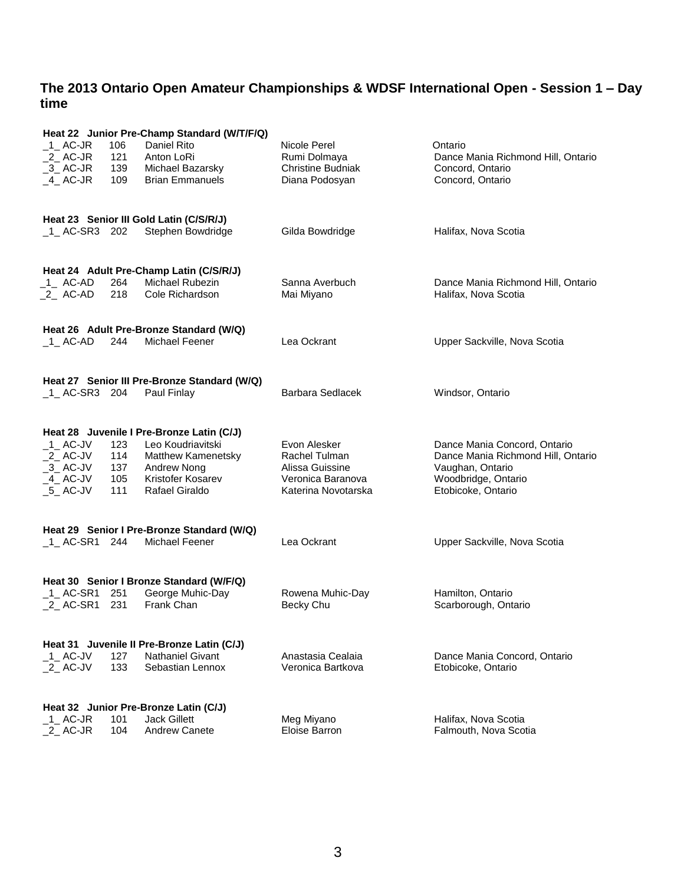| Heat 22 Junior Pre-Champ Standard (W/T/F/Q) |                                                                                                           |                                                              |                               |                                                                    |  |  |
|---------------------------------------------|-----------------------------------------------------------------------------------------------------------|--------------------------------------------------------------|-------------------------------|--------------------------------------------------------------------|--|--|
| $_1$ AC-JR                                  | 106                                                                                                       | Daniel Rito                                                  | Nicole Perel                  | Ontario                                                            |  |  |
| $_2$ AC-JR                                  | 121                                                                                                       | Anton LoRi                                                   | Rumi Dolmaya                  | Dance Mania Richmond Hill, Ontario                                 |  |  |
| $-3$ AC-JR                                  | 139<br>109                                                                                                | Michael Bazarsky<br><b>Brian Emmanuels</b>                   | <b>Christine Budniak</b>      | Concord, Ontario                                                   |  |  |
| $-4$ AC-JR                                  |                                                                                                           |                                                              | Diana Podosyan                | Concord, Ontario                                                   |  |  |
|                                             |                                                                                                           |                                                              |                               |                                                                    |  |  |
|                                             |                                                                                                           | Heat 23 Senior III Gold Latin (C/S/R/J)                      |                               |                                                                    |  |  |
| $-1$ AC-SR3 202                             |                                                                                                           | Stephen Bowdridge                                            | Gilda Bowdridge               | Halifax, Nova Scotia                                               |  |  |
|                                             |                                                                                                           |                                                              |                               |                                                                    |  |  |
|                                             |                                                                                                           |                                                              |                               |                                                                    |  |  |
|                                             |                                                                                                           | Heat 24 Adult Pre-Champ Latin (C/S/R/J)                      |                               |                                                                    |  |  |
| _1_ AC-AD<br>$_2$ AC-AD                     | 264<br>218                                                                                                | Michael Rubezin<br>Cole Richardson                           | Sanna Averbuch<br>Mai Miyano  | Dance Mania Richmond Hill, Ontario<br>Halifax, Nova Scotia         |  |  |
|                                             |                                                                                                           |                                                              |                               |                                                                    |  |  |
|                                             |                                                                                                           |                                                              |                               |                                                                    |  |  |
|                                             |                                                                                                           | Heat 26 Adult Pre-Bronze Standard (W/Q)                      |                               |                                                                    |  |  |
| $-1$ AC-AD                                  | 244                                                                                                       | Michael Feener                                               | Lea Ockrant                   | Upper Sackville, Nova Scotia                                       |  |  |
|                                             |                                                                                                           |                                                              |                               |                                                                    |  |  |
|                                             |                                                                                                           | Heat 27 Senior III Pre-Bronze Standard (W/Q)                 |                               |                                                                    |  |  |
| $-1$ AC-SR3 204                             |                                                                                                           | Paul Finlay                                                  | Barbara Sedlacek              | Windsor, Ontario                                                   |  |  |
|                                             |                                                                                                           |                                                              |                               |                                                                    |  |  |
|                                             |                                                                                                           |                                                              |                               |                                                                    |  |  |
|                                             |                                                                                                           | Heat 28 Juvenile I Pre-Bronze Latin (C/J)                    |                               |                                                                    |  |  |
| $-1$ AC-JV<br>$_2$ AC-JV                    | 123<br>114                                                                                                | Leo Koudriavitski<br><b>Matthew Kamenetsky</b>               | Evon Alesker<br>Rachel Tulman | Dance Mania Concord, Ontario<br>Dance Mania Richmond Hill, Ontario |  |  |
| $-3$ AC-JV                                  | 137                                                                                                       | Andrew Nong                                                  | Alissa Guissine               | Vaughan, Ontario                                                   |  |  |
| $-4$ AC-JV                                  | 105                                                                                                       | Kristofer Kosarev                                            | Veronica Baranova             | Woodbridge, Ontario                                                |  |  |
| $-5$ AC-JV                                  | 111                                                                                                       | <b>Rafael Giraldo</b>                                        | Katerina Novotarska           | Etobicoke, Ontario                                                 |  |  |
|                                             |                                                                                                           |                                                              |                               |                                                                    |  |  |
|                                             |                                                                                                           |                                                              |                               |                                                                    |  |  |
| $-1$ AC-SR1 244                             |                                                                                                           | Heat 29 Senior I Pre-Bronze Standard (W/Q)<br>Michael Feener | Lea Ockrant                   | Upper Sackville, Nova Scotia                                       |  |  |
|                                             |                                                                                                           |                                                              |                               |                                                                    |  |  |
|                                             |                                                                                                           |                                                              |                               |                                                                    |  |  |
| Heat 30 Senior I Bronze Standard (W/F/Q)    |                                                                                                           |                                                              |                               |                                                                    |  |  |
| $\_$ 1 $\_$ AC-SR1                          | 251                                                                                                       | George Muhic-Day                                             | Rowena Muhic-Day              | Hamilton, Ontario                                                  |  |  |
| 2 AC-SR1                                    | 231                                                                                                       | Frank Chan                                                   | Becky Chu                     | Scarborough, Ontario                                               |  |  |
|                                             |                                                                                                           |                                                              |                               |                                                                    |  |  |
| Heat 31 Juvenile II Pre-Bronze Latin (C/J)  |                                                                                                           |                                                              |                               |                                                                    |  |  |
| $-1$ AC-JV                                  | 127                                                                                                       | <b>Nathaniel Givant</b>                                      | Anastasia Cealaia             | Dance Mania Concord, Ontario                                       |  |  |
| $_2$ AC-JV                                  | 133                                                                                                       | Sebastian Lennox                                             | Veronica Bartkova             | Etobicoke, Ontario                                                 |  |  |
|                                             |                                                                                                           |                                                              |                               |                                                                    |  |  |
|                                             |                                                                                                           |                                                              |                               |                                                                    |  |  |
| $_1$ AC-JR                                  | Heat 32 Junior Pre-Bronze Latin (C/J)<br>101<br><b>Jack Gillett</b><br>Meg Miyano<br>Halifax, Nova Scotia |                                                              |                               |                                                                    |  |  |
| $2$ AC-JR                                   | 104                                                                                                       | <b>Andrew Canete</b>                                         | Eloise Barron                 | Falmouth, Nova Scotia                                              |  |  |
|                                             |                                                                                                           |                                                              |                               |                                                                    |  |  |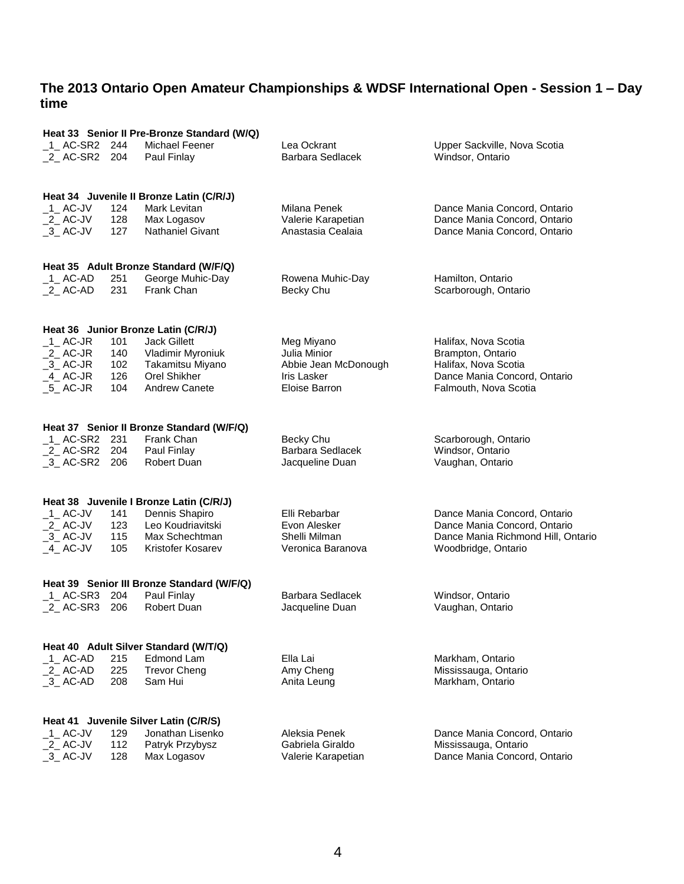| Heat 33 Senior II Pre-Bronze Standard (W/Q) |                                          |                                           |                      |                                    |  |  |  |
|---------------------------------------------|------------------------------------------|-------------------------------------------|----------------------|------------------------------------|--|--|--|
| $1$ AC-SR2 244                              | 204                                      | Michael Feener                            | Lea Ockrant          | Upper Sackville, Nova Scotia       |  |  |  |
| _2_ AC-SR2                                  |                                          | Paul Finlay                               | Barbara Sedlacek     | Windsor, Ontario                   |  |  |  |
|                                             | Heat 34 Juvenile II Bronze Latin (C/R/J) |                                           |                      |                                    |  |  |  |
| $-1$ AC-JV                                  | 124                                      | Mark Levitan                              | Milana Penek         | Dance Mania Concord, Ontario       |  |  |  |
| $_2$ AC-JV                                  | 128                                      | Max Logasov                               | Valerie Karapetian   | Dance Mania Concord, Ontario       |  |  |  |
| $-3$ AC-JV                                  | 127                                      | Nathaniel Givant                          | Anastasia Cealaia    | Dance Mania Concord, Ontario       |  |  |  |
|                                             |                                          | Heat 35 Adult Bronze Standard (W/F/Q)     |                      |                                    |  |  |  |
| $_1$ AC-AD                                  | 251                                      | George Muhic-Day                          | Rowena Muhic-Day     | Hamilton, Ontario                  |  |  |  |
| $_2$ AC-AD                                  | 231                                      | Frank Chan                                | Becky Chu            | Scarborough, Ontario               |  |  |  |
|                                             |                                          | Heat 36 Junior Bronze Latin (C/R/J)       |                      |                                    |  |  |  |
| $_1$ AC-JR                                  | 101                                      | Jack Gillett                              | Meg Miyano           | Halifax, Nova Scotia               |  |  |  |
| $_2$ AC-JR                                  | 140                                      | Vladimir Myroniuk                         | Julia Minior         | Brampton, Ontario                  |  |  |  |
| $-3$ AC-JR                                  | 102                                      | Takamitsu Miyano                          | Abbie Jean McDonough | Halifax, Nova Scotia               |  |  |  |
| 4 AC-JR                                     | 126                                      | Orel Shikher                              | Iris Lasker          | Dance Mania Concord, Ontario       |  |  |  |
| $-5$ AC-JR                                  | 104                                      | <b>Andrew Canete</b>                      | Eloise Barron        | Falmouth, Nova Scotia              |  |  |  |
|                                             |                                          | Heat 37 Senior II Bronze Standard (W/F/Q) |                      |                                    |  |  |  |
| 1_AC-SR2 231                                | 204                                      | Frank Chan                                | Becky Chu            | Scarborough, Ontario               |  |  |  |
| _2_ AC-SR2                                  |                                          | Paul Finlay                               | Barbara Sedlacek     | Windsor, Ontario                   |  |  |  |
| _3_AC-SR2 206                               |                                          | Robert Duan                               | Jacqueline Duan      | Vaughan, Ontario                   |  |  |  |
|                                             |                                          | Heat 38 Juvenile I Bronze Latin (C/R/J)   |                      |                                    |  |  |  |
| $-1$ AC-JV                                  | 141                                      | Dennis Shapiro                            | Elli Rebarbar        | Dance Mania Concord, Ontario       |  |  |  |
| $2$ AC-JV                                   | 123                                      | Leo Koudriavitski                         | Evon Alesker         | Dance Mania Concord, Ontario       |  |  |  |
| $-3$ AC-JV                                  | 115                                      | Max Schechtman                            | Shelli Milman        | Dance Mania Richmond Hill, Ontario |  |  |  |
| $-4$ AC-JV                                  | 105                                      | Kristofer Kosarev                         | Veronica Baranova    | Woodbridge, Ontario                |  |  |  |
| Heat 39 Senior III Bronze Standard (W/F/Q)  |                                          |                                           |                      |                                    |  |  |  |
|                                             | 204                                      | Paul Finlay                               | Barbara Sedlacek     | Windsor, Ontario                   |  |  |  |
| 2 AC-SR3                                    | 206                                      | Robert Duan                               | Jacqueline Duan      | Vaughan, Ontario                   |  |  |  |
|                                             |                                          | Heat 40 Adult Silver Standard (W/T/Q)     |                      |                                    |  |  |  |
| $-1$ AC-AD                                  | 215                                      | Edmond Lam                                | Ella Lai             | Markham, Ontario                   |  |  |  |
| $_2$ AC-AD                                  | 225                                      | <b>Trevor Cheng</b>                       | Amy Cheng            | Mississauga, Ontario               |  |  |  |
| $-3$ AC-AD                                  | 208                                      | Sam Hui                                   | Anita Leung          | Markham, Ontario                   |  |  |  |
| Heat 41 Juvenile Silver Latin (C/R/S)       |                                          |                                           |                      |                                    |  |  |  |
| $-1$ AC-JV                                  | 129                                      | Jonathan Lisenko                          | Aleksia Penek        | Dance Mania Concord, Ontario       |  |  |  |
| $2$ AC-JV                                   | 112                                      | Patryk Przybysz                           | Gabriela Giraldo     | Mississauga, Ontario               |  |  |  |
| $-3$ AC-JV                                  | 128                                      | Max Logasov                               | Valerie Karapetian   | Dance Mania Concord, Ontario       |  |  |  |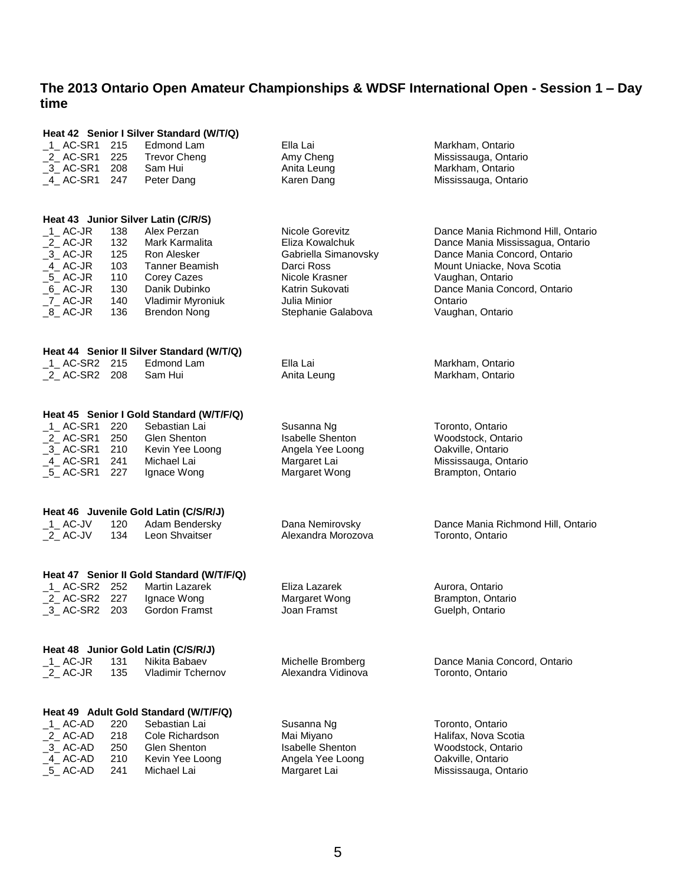| Heat 42 Senior I Silver Standard (W/T/Q)  |            |                                                         |                                             |                                           |  |  |  |
|-------------------------------------------|------------|---------------------------------------------------------|---------------------------------------------|-------------------------------------------|--|--|--|
| $1$ AC-SR1                                | 215        | Edmond Lam                                              | Ella Lai                                    | Markham, Ontario                          |  |  |  |
| $2$ AC-SR1                                | 225        | <b>Trevor Cheng</b>                                     | Amy Cheng                                   | Mississauga, Ontario                      |  |  |  |
| $-3$ AC-SR1                               | 208        | Sam Hui                                                 | Anita Leung                                 | Markham, Ontario                          |  |  |  |
| $-4$ AC-SR1                               | 247        | Peter Dang                                              | Karen Dang                                  | Mississauga, Ontario                      |  |  |  |
|                                           |            |                                                         |                                             |                                           |  |  |  |
|                                           |            | Heat 43 Junior Silver Latin (C/R/S)                     |                                             |                                           |  |  |  |
| $\_$ 1 $\_$ AC-JR                         | 138        | Alex Perzan                                             | Nicole Gorevitz                             | Dance Mania Richmond Hill, Ontario        |  |  |  |
| $_2$ AC-JR                                | 132        | Mark Karmalita                                          | Eliza Kowalchuk                             | Dance Mania Mississagua, Ontario          |  |  |  |
| $-3$ AC-JR                                | 125        | Ron Alesker                                             | Gabriella Simanovsky                        | Dance Mania Concord, Ontario              |  |  |  |
| $-4$ AC-JR                                | 103        | <b>Tanner Beamish</b>                                   | Darci Ross                                  | Mount Uniacke, Nova Scotia                |  |  |  |
| $\_5\_$ AC-JR                             | 110        | Corey Cazes                                             | Nicole Krasner                              | Vaughan, Ontario                          |  |  |  |
| $_6$ AC-JR                                | 130        | Danik Dubinko                                           | Katrin Sukovati                             | Dance Mania Concord, Ontario              |  |  |  |
| $Z$ AC-JR                                 | 140        |                                                         | Julia Minior                                | Ontario                                   |  |  |  |
| $_8$ AC-JR                                |            | Vladimir Myroniuk                                       |                                             |                                           |  |  |  |
|                                           | 136        | <b>Brendon Nong</b>                                     | Stephanie Galabova                          | Vaughan, Ontario                          |  |  |  |
|                                           |            |                                                         |                                             |                                           |  |  |  |
| $-1$ AC-SR2 215                           |            | Heat 44 Senior II Silver Standard (W/T/Q)<br>Edmond Lam | Ella Lai                                    |                                           |  |  |  |
| _2_ AC-SR2 208                            |            | Sam Hui                                                 | Anita Leung                                 | Markham, Ontario<br>Markham, Ontario      |  |  |  |
|                                           |            |                                                         |                                             |                                           |  |  |  |
|                                           |            |                                                         |                                             |                                           |  |  |  |
|                                           |            | Heat 45 Senior I Gold Standard (W/T/F/Q)                |                                             |                                           |  |  |  |
| $_1$ AC-SR1                               | 220        | Sebastian Lai                                           | Susanna Ng                                  | Toronto, Ontario                          |  |  |  |
| $2$ AC-SR1                                | 250        | Glen Shenton                                            | <b>Isabelle Shenton</b><br>Angela Yee Loong | Woodstock, Ontario                        |  |  |  |
| $-3$ AC-SR1                               | 210        | Kevin Yee Loong                                         |                                             | Oakville, Ontario                         |  |  |  |
| _4_ AC-SR1<br>$\_5\_$ AC-SR1              | 241<br>227 | Michael Lai<br>Ignace Wong                              | Margaret Lai<br>Margaret Wong               | Mississauga, Ontario<br>Brampton, Ontario |  |  |  |
|                                           |            |                                                         |                                             |                                           |  |  |  |
|                                           |            | Heat 46 Juvenile Gold Latin (C/S/R/J)                   |                                             |                                           |  |  |  |
| $-1$ AC-JV                                | 120        | Adam Bendersky                                          | Dana Nemirovsky                             | Dance Mania Richmond Hill, Ontario        |  |  |  |
| $\_$ 2 $\_$ AC-JV                         | 134        | Leon Shvaitser                                          | Alexandra Morozova                          | Toronto, Ontario                          |  |  |  |
|                                           |            |                                                         |                                             |                                           |  |  |  |
| Heat 47 Senior II Gold Standard (W/T/F/Q) |            |                                                         |                                             |                                           |  |  |  |
| $_1$ AC-SR2                               | 252        | Martin Lazarek                                          | Eliza Lazarek                               | Aurora, Ontario                           |  |  |  |
| 2 AC-SR2                                  | 227        | Ignace Wong                                             | Margaret Wong                               | Brampton, Ontario                         |  |  |  |
| _3_AC-SR2 203                             |            | Gordon Framst                                           | Joan Framst                                 | Guelph, Ontario                           |  |  |  |
|                                           |            |                                                         |                                             |                                           |  |  |  |
| Heat 48 Junior Gold Latin (C/S/R/J)       |            |                                                         |                                             |                                           |  |  |  |
| $_1$ AC-JR                                | 131        | Nikita Babaev                                           | Michelle Bromberg                           | Dance Mania Concord, Ontario              |  |  |  |
| $\_$ 2 $\_$ AC-JR                         | 135        | <b>Vladimir Tchernov</b>                                | Alexandra Vidinova                          | Toronto, Ontario                          |  |  |  |
|                                           |            |                                                         |                                             |                                           |  |  |  |
| Heat 49 Adult Gold Standard (W/T/F/Q)     |            |                                                         |                                             |                                           |  |  |  |
| $-1$ AC-AD                                | 220        | Sebastian Lai                                           | Susanna Ng                                  | Toronto, Ontario                          |  |  |  |
| $2$ AC-AD                                 | 218        | Cole Richardson                                         | Mai Miyano                                  | Halifax, Nova Scotia                      |  |  |  |
| $\_3\_$ AC-AD                             | 250        | Glen Shenton                                            | <b>Isabelle Shenton</b>                     | Woodstock, Ontario                        |  |  |  |
| $-4$ AC-AD                                | 210        | Kevin Yee Loong                                         | Angela Yee Loong                            | Oakville, Ontario                         |  |  |  |
| $-5$ AC-AD                                | 241        | Michael Lai                                             | Margaret Lai                                | Mississauga, Ontario                      |  |  |  |
|                                           |            |                                                         |                                             |                                           |  |  |  |